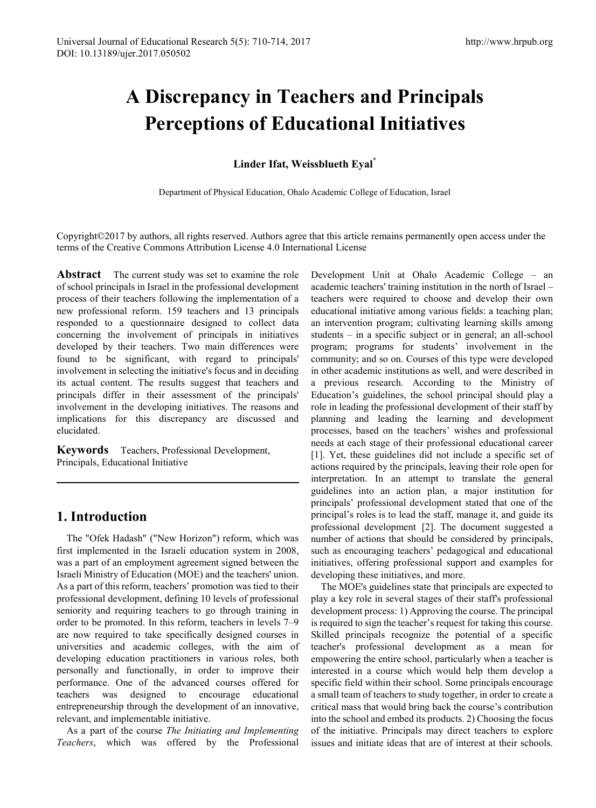# **A Discrepancy in Teachers and Principals Perceptions of Educational Initiatives**

## **Linder Ifat, Weissblueth Eyal\***

Department of Physical Education, Ohalo Academic College of Education, Israel

Copyright©2017 by authors, all rights reserved. Authors agree that this article remains permanently open access under the terms of the Creative Commons Attribution License 4.0 International License

**Abstract** The current study was set to examine the role of school principals in Israel in the professional development process of their teachers following the implementation of a new professional reform. 159 teachers and 13 principals responded to a questionnaire designed to collect data concerning the involvement of principals in initiatives developed by their teachers. Two main differences were found to be significant, with regard to principals' involvement in selecting the initiative's focus and in deciding its actual content. The results suggest that teachers and principals differ in their assessment of the principals' involvement in the developing initiatives. The reasons and implications for this discrepancy are discussed and elucidated.

**Keywords** Teachers, Professional Development, Principals, Educational Initiative

## **1. Introduction**

The "Ofek Hadash" ("New Horizon") reform, which was first implemented in the Israeli education system in 2008, was a part of an employment agreement signed between the Israeli Ministry of Education (MOE) and the teachers' union. As a part of this reform, teachers' promotion was tied to their professional development, defining 10 levels of professional seniority and requiring teachers to go through training in order to be promoted. In this reform, teachers in levels 7–9 are now required to take specifically designed courses in universities and academic colleges, with the aim of developing education practitioners in various roles, both personally and functionally, in order to improve their performance. One of the advanced courses offered for teachers was designed to encourage educational entrepreneurship through the development of an innovative, relevant, and implementable initiative.

As a part of the course *The Initiating and Implementing Teachers*, which was offered by the Professional Development Unit at Ohalo Academic College – an academic teachers' training institution in the north of Israel – teachers were required to choose and develop their own educational initiative among various fields: a teaching plan; an intervention program; cultivating learning skills among students – in a specific subject or in general; an all-school program; programs for students' involvement in the community; and so on. Courses of this type were developed in other academic institutions as well, and were described in a previous research. According to the Ministry of Education's guidelines, the school principal should play a role in leading the professional development of their staff by planning and leading the learning and development processes, based on the teachers' wishes and professional needs at each stage of their professional educational career [1]. Yet, these guidelines did not include a specific set of actions required by the principals, leaving their role open for interpretation. In an attempt to translate the general guidelines into an action plan, a major institution for principals' professional development stated that one of the principal's roles is to lead the staff, manage it, and guide its professional development [2]. The document suggested a number of actions that should be considered by principals, such as encouraging teachers' pedagogical and educational initiatives, offering professional support and examples for developing these initiatives, and more.

The MOE's guidelines state that principals are expected to play a key role in several stages of their staff's professional development process: 1) Approving the course. The principal is required to sign the teacher's request for taking this course. Skilled principals recognize the potential of a specific teacher's professional development as a mean for empowering the entire school, particularly when a teacher is interested in a course which would help them develop a specific field within their school. Some principals encourage a small team of teachers to study together, in order to create a critical mass that would bring back the course's contribution into the school and embed its products. 2) Choosing the focus of the initiative. Principals may direct teachers to explore issues and initiate ideas that are of interest at their schools.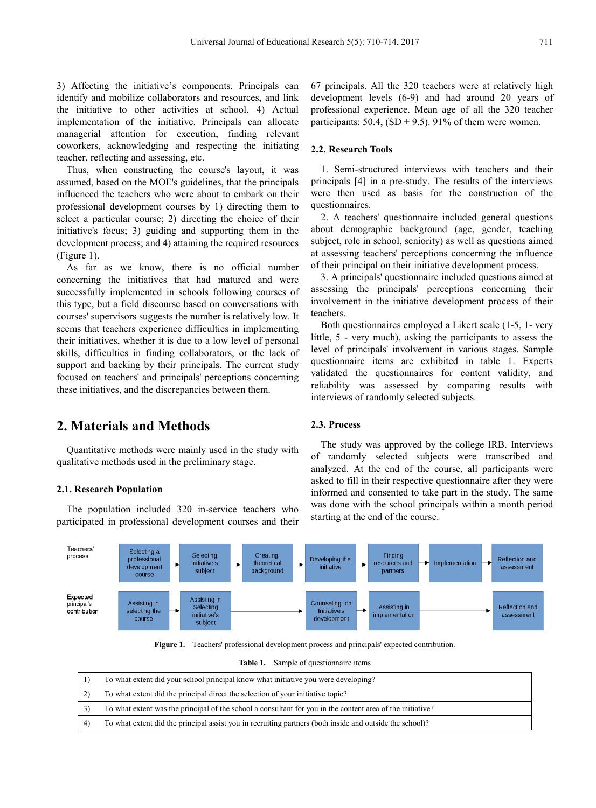3) Affecting the initiative's components. Principals can identify and mobilize collaborators and resources, and link the initiative to other activities at school. 4) Actual implementation of the initiative. Principals can allocate managerial attention for execution, finding relevant coworkers, acknowledging and respecting the initiating teacher, reflecting and assessing, etc.

Thus, when constructing the course's layout, it was assumed, based on the MOE's guidelines, that the principals influenced the teachers who were about to embark on their professional development courses by 1) directing them to select a particular course; 2) directing the choice of their initiative's focus; 3) guiding and supporting them in the development process; and 4) attaining the required resources (Figure 1).

As far as we know, there is no official number concerning the initiatives that had matured and were successfully implemented in schools following courses of this type, but a field discourse based on conversations with courses' supervisors suggests the number is relatively low. It seems that teachers experience difficulties in implementing their initiatives, whether it is due to a low level of personal skills, difficulties in finding collaborators, or the lack of support and backing by their principals. The current study focused on teachers' and principals' perceptions concerning these initiatives, and the discrepancies between them.

**2. Materials and Methods**

Quantitative methods were mainly used in the study with qualitative methods used in the preliminary stage.

#### **2.1. Research Population**

The population included 320 in-service teachers who participated in professional development courses and their

67 principals. All the 320 teachers were at relatively high development levels (6-9) and had around 20 years of professional experience. Mean age of all the 320 teacher participants:  $50.4$ ,  $(SD \pm 9.5)$ .  $91\%$  of them were women.

#### **2.2. Research Tools**

1. Semi-structured interviews with teachers and their principals [4] in a pre-study. The results of the interviews were then used as basis for the construction of the questionnaires.

2. A teachers' questionnaire included general questions about demographic background (age, gender, teaching subject, role in school, seniority) as well as questions aimed at assessing teachers' perceptions concerning the influence of their principal on their initiative development process.

3. A principals' questionnaire included questions aimed at assessing the principals' perceptions concerning their involvement in the initiative development process of their teachers.

Both questionnaires employed a Likert scale (1-5, 1- very little, 5 - very much), asking the participants to assess the level of principals' involvement in various stages. Sample questionnaire items are exhibited in table 1. Experts validated the questionnaires for content validity, and reliability was assessed by comparing results with interviews of randomly selected subjects.

#### **2.3. Process**

The study was approved by the college IRB. Interviews of randomly selected subjects were transcribed and analyzed. At the end of the course, all participants were asked to fill in their respective questionnaire after they were informed and consented to take part in the study. The same was done with the school principals within a month period starting at the end of the course.



**Figure 1.** Teachers' professional development process and principals' expected contribution.

| Table 1. | Sample of questionnaire items |
|----------|-------------------------------|
|----------|-------------------------------|

|              | To what extent did your school principal know what initiative you were developing?                         |
|--------------|------------------------------------------------------------------------------------------------------------|
| $\mathbf{2}$ | To what extent did the principal direct the selection of your initiative topic?                            |
|              | To what extent was the principal of the school a consultant for you in the content area of the initiative? |
| $4^{\circ}$  | To what extent did the principal assist you in recruiting partners (both inside and outside the school)?   |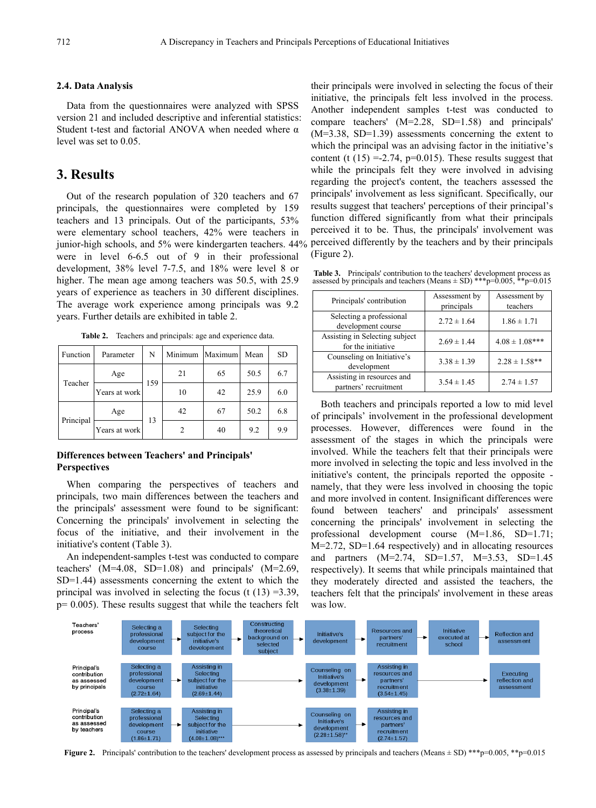#### **2.4. Data Analysis**

Data from the questionnaires were analyzed with SPSS version 21 and included descriptive and inferential statistics: Student t-test and factorial ANOVA when needed where α level was set to 0.05.

## **3. Results**

Out of the research population of 320 teachers and 67 principals, the questionnaires were completed by 159 teachers and 13 principals. Out of the participants, 53% were elementary school teachers, 42% were teachers in junior-high schools, and 5% were kindergarten teachers. 44% were in level 6-6.5 out of 9 in their professional development, 38% level 7-7.5, and 18% were level 8 or higher. The mean age among teachers was 50.5, with 25.9 years of experience as teachers in 30 different disciplines. The average work experience among principals was 9.2 years. Further details are exhibited in table 2.

| Function  | Parameter     | N   | Minimum | Maximum | Mean | <b>SD</b> |
|-----------|---------------|-----|---------|---------|------|-----------|
|           | Age           | 159 | 21      | 65      | 50.5 | 6.7       |
| Teacher   | Years at work |     | 10      | 42      | 25.9 | 6.0       |
|           | Age           | 13  | 42      | 67      | 50.2 | 6.8       |
| Principal | Years at work |     |         | 40      | 9.2  | 9.9       |

**Table 2.** Teachers and principals: age and experience data.

#### **Differences between Teachers' and Principals' Perspectives**

When comparing the perspectives of teachers and principals, two main differences between the teachers and the principals' assessment were found to be significant: Concerning the principals' involvement in selecting the focus of the initiative, and their involvement in the initiative's content (Table 3).

An independent-samples t-test was conducted to compare teachers' (M=4.08, SD=1.08) and principals' (M=2.69, SD=1.44) assessments concerning the extent to which the principal was involved in selecting the focus (t  $(13) = 3.39$ ,  $p= 0.005$ ). These results suggest that while the teachers felt

their principals were involved in selecting the focus of their initiative, the principals felt less involved in the process. Another independent samples t-test was conducted to compare teachers' (M=2.28, SD=1.58) and principals' (M=3.38, SD=1.39) assessments concerning the extent to which the principal was an advising factor in the initiative's content (t  $(15) = 2.74$ ,  $p=0.015$ ). These results suggest that while the principals felt they were involved in advising regarding the project's content, the teachers assessed the principals' involvement as less significant. Specifically, our results suggest that teachers' perceptions of their principal's function differed significantly from what their principals perceived it to be. Thus, the principals' involvement was perceived differently by the teachers and by their principals (Figure 2).

**Table 3.** Principals' contribution to the teachers' development process as assessed by principals and teachers (Means  $\pm$  SD) \*\*\*p=0.005, \*\*p=0.015

| Principals' contribution                             | Assessment by<br>principals | Assessment by<br>teachers |
|------------------------------------------------------|-----------------------------|---------------------------|
| Selecting a professional<br>development course       | $2.72 \pm 1.64$             | $1.86 \pm 1.71$           |
| Assisting in Selecting subject<br>for the initiative | $2.69 \pm 1.44$             | $4.08 \pm 1.08$ ***       |
| Counseling on Initiative's<br>development            | $3.38 \pm 1.39$             | $2.28 \pm 1.58$ **        |
| Assisting in resources and<br>partners' recruitment  | $3.54 \pm 1.45$             | $2.74 \pm 1.57$           |

Both teachers and principals reported a low to mid level of principals' involvement in the professional development processes. However, differences were found in the assessment of the stages in which the principals were involved. While the teachers felt that their principals were more involved in selecting the topic and less involved in the initiative's content, the principals reported the opposite namely, that they were less involved in choosing the topic and more involved in content. Insignificant differences were found between teachers' and principals' assessment concerning the principals' involvement in selecting the professional development course (M=1.86, SD=1.71; M=2.72, SD=1.64 respectively) and in allocating resources and partners (M=2.74, SD=1.57, M=3.53, SD=1.45 respectively). It seems that while principals maintained that they moderately directed and assisted the teachers, the teachers felt that the principals' involvement in these areas was low.



**Figure 2.** Principals' contribution to the teachers' development process as assessed by principals and teachers (Means  $\pm$  SD) \*\*\*p=0.005, \*\*p=0.015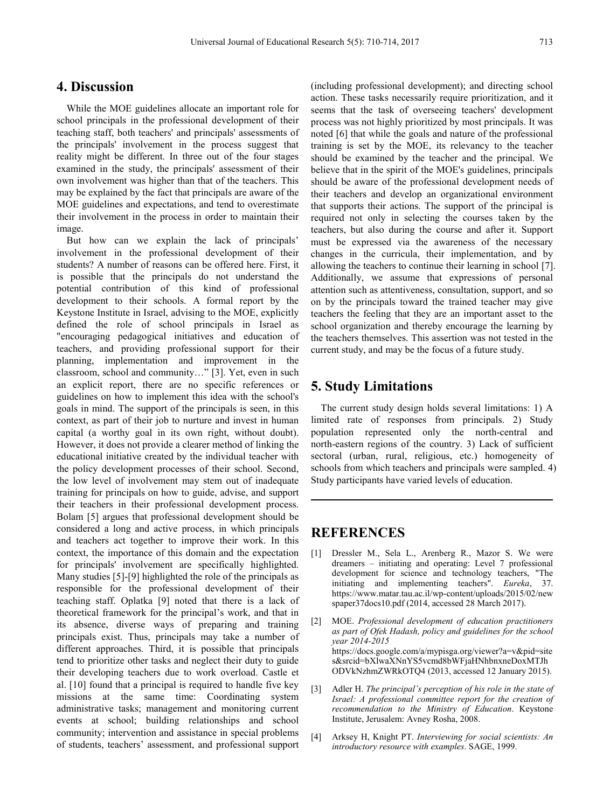## **4. Discussion**

While the MOE guidelines allocate an important role for school principals in the professional development of their teaching staff, both teachers' and principals' assessments of the principals' involvement in the process suggest that reality might be different. In three out of the four stages examined in the study, the principals' assessment of their own involvement was higher than that of the teachers. This may be explained by the fact that principals are aware of the MOE guidelines and expectations, and tend to overestimate their involvement in the process in order to maintain their image.

But how can we explain the lack of principals' involvement in the professional development of their students? A number of reasons can be offered here. First, it is possible that the principals do not understand the potential contribution of this kind of professional development to their schools. A formal report by the Keystone Institute in Israel, advising to the MOE, explicitly defined the role of school principals in Israel as "encouraging pedagogical initiatives and education of teachers, and providing professional support for their planning, implementation and improvement in the classroom, school and community…" [3]. Yet, even in such an explicit report, there are no specific references or guidelines on how to implement this idea with the school's goals in mind. The support of the principals is seen, in this context, as part of their job to nurture and invest in human capital (a worthy goal in its own right, without doubt). However, it does not provide a clearer method of linking the educational initiative created by the individual teacher with the policy development processes of their school. Second, the low level of involvement may stem out of inadequate training for principals on how to guide, advise, and support their teachers in their professional development process. Bolam [5] argues that professional development should be considered a long and active process, in which principals and teachers act together to improve their work. In this context, the importance of this domain and the expectation for principals' involvement are specifically highlighted. Many studies [5]-[9] highlighted the role of the principals as responsible for the professional development of their teaching staff. Oplatka [9] noted that there is a lack of theoretical framework for the principal's work, and that in its absence, diverse ways of preparing and training principals exist. Thus, principals may take a number of different approaches. Third, it is possible that principals tend to prioritize other tasks and neglect their duty to guide their developing teachers due to work overload. Castle et al. [10] found that a principal is required to handle five key missions at the same time: Coordinating system administrative tasks; management and monitoring current events at school; building relationships and school community; intervention and assistance in special problems of students, teachers' assessment, and professional support

(including professional development); and directing school action. These tasks necessarily require prioritization, and it seems that the task of overseeing teachers' development process was not highly prioritized by most principals. It was noted [6] that while the goals and nature of the professional training is set by the MOE, its relevancy to the teacher should be examined by the teacher and the principal. We believe that in the spirit of the MOE's guidelines, principals should be aware of the professional development needs of their teachers and develop an organizational environment that supports their actions. The support of the principal is required not only in selecting the courses taken by the teachers, but also during the course and after it. Support must be expressed via the awareness of the necessary changes in the curricula, their implementation, and by allowing the teachers to continue their learning in school [7]. Additionally, we assume that expressions of personal attention such as attentiveness, consultation, support, and so on by the principals toward the trained teacher may give teachers the feeling that they are an important asset to the school organization and thereby encourage the learning by the teachers themselves. This assertion was not tested in the current study, and may be the focus of a future study.

## **5. Study Limitations**

The current study design holds several limitations: 1) A limited rate of responses from principals. 2) Study population represented only the north-central and north-eastern regions of the country. 3) Lack of sufficient sectoral (urban, rural, religious, etc.) homogeneity of schools from which teachers and principals were sampled. 4) Study participants have varied levels of education.

### **REFERENCES**

- [1] Dressler M., Sela L., Arenberg R., Mazor S. We were dreamers – initiating and operating: Level 7 professional development for science and technology teachers, "The initiating and implementing teachers". *Eureka*, 37. https://www.matar.tau.ac.il/wp-content/uploads/2015/02/new spaper37docs10.pdf (2014, accessed 28 March 2017).
- [2] MOE. *Professional development of education practitioners as part of Ofek Hadash, policy and guidelines for the school year 2014-2015* https://docs.google.com/a/mypisga.org/viewer?a=v&pid=site s&srcid=bXlwaXNnYS5vcmd8bWFjaHNhbnxneDoxMTJh ODVkNzhmZWRkOTQ4 (2013, accessed 12 January 2015).
- [3] Adler H. *The principal's perception of his role in the state of Israel: A professional committee report for the creation of recommendation to the Ministry of Education*. Keystone Institute, Jerusalem: Avney Rosha, 2008.
- [4] Arksey H, Knight PT. *Interviewing for social scientists: An introductory resource with examples*. SAGE, 1999.